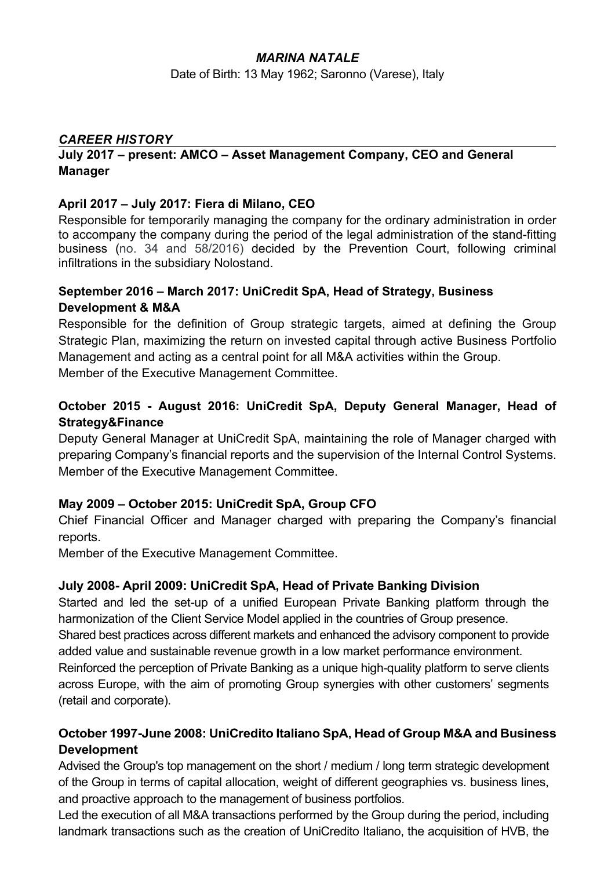### *MARINA NATALE*

Date of Birth: 13 May 1962; Saronno (Varese), Italy

### *CAREER HISTORY*

#### **July 2017 – present: AMCO – Asset Management Company, CEO and General Manager**

#### **April 2017 – July 2017: Fiera di Milano, CEO**

Responsible for temporarily managing the company for the ordinary administration in order to accompany the company during the period of the legal administration of the stand-fitting business (no. 34 and 58/2016) decided by the Prevention Court, following criminal infiltrations in the subsidiary Nolostand.

## **September 2016 – March 2017: UniCredit SpA, Head of Strategy, Business Development & M&A**

Responsible for the definition of Group strategic targets, aimed at defining the Group Strategic Plan, maximizing the return on invested capital through active Business Portfolio Management and acting as a central point for all M&A activities within the Group. Member of the Executive Management Committee.

## **October 2015 - August 2016: UniCredit SpA, Deputy General Manager, Head of Strategy&Finance**

Deputy General Manager at UniCredit SpA, maintaining the role of Manager charged with preparing Company's financial reports and the supervision of the Internal Control Systems. Member of the Executive Management Committee.

### **May 2009 – October 2015: UniCredit SpA, Group CFO**

Chief Financial Officer and Manager charged with preparing the Company's financial reports.

Member of the Executive Management Committee.

#### **July 2008- April 2009: UniCredit SpA, Head of Private Banking Division**

Started and led the set-up of a unified European Private Banking platform through the harmonization of the Client Service Model applied in the countries of Group presence. Shared best practices across different markets and enhanced the advisory component to provide added value and sustainable revenue growth in a low market performance environment. Reinforced the perception of Private Banking as a unique high-quality platform to serve clients across Europe, with the aim of promoting Group synergies with other customers' segments (retail and corporate).

## **October 1997-June 2008: UniCredito Italiano SpA, Head of Group M&A and Business Development**

Advised the Group's top management on the short / medium / long term strategic development of the Group in terms of capital allocation, weight of different geographies vs. business lines, and proactive approach to the management of business portfolios.

Led the execution of all M&A transactions performed by the Group during the period, including landmark transactions such as the creation of UniCredito Italiano, the acquisition of HVB, the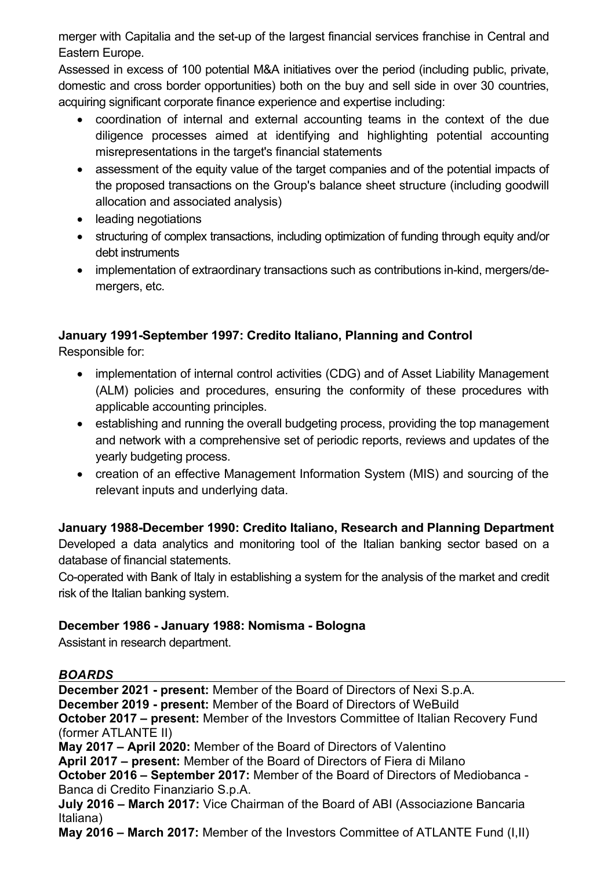merger with Capitalia and the set-up of the largest financial services franchise in Central and Eastern Europe.

Assessed in excess of 100 potential M&A initiatives over the period (including public, private, domestic and cross border opportunities) both on the buy and sell side in over 30 countries, acquiring significant corporate finance experience and expertise including:

- coordination of internal and external accounting teams in the context of the due diligence processes aimed at identifying and highlighting potential accounting misrepresentations in the target's financial statements
- assessment of the equity value of the target companies and of the potential impacts of the proposed transactions on the Group's balance sheet structure (including goodwill allocation and associated analysis)
- leading negotiations
- structuring of complex transactions, including optimization of funding through equity and/or debt instruments
- implementation of extraordinary transactions such as contributions in-kind, mergers/demergers, etc.

# **January 1991-September 1997: Credito Italiano, Planning and Control**

Responsible for:

- implementation of internal control activities (CDG) and of Asset Liability Management (ALM) policies and procedures, ensuring the conformity of these procedures with applicable accounting principles.
- establishing and running the overall budgeting process, providing the top management and network with a comprehensive set of periodic reports, reviews and updates of the yearly budgeting process.
- creation of an effective Management Information System (MIS) and sourcing of the relevant inputs and underlying data.

## **January 1988-December 1990: Credito Italiano, Research and Planning Department**

Developed a data analytics and monitoring tool of the Italian banking sector based on a database of financial statements.

Co-operated with Bank of Italy in establishing a system for the analysis of the market and credit risk of the Italian banking system.

## **December 1986 - January 1988: Nomisma - Bologna**

Assistant in research department.

## *BOARDS*

**December 2021 - present:** Member of the Board of Directors of Nexi S.p.A. **December 2019 - present:** Member of the Board of Directors of WeBuild **October 2017 – present:** Member of the Investors Committee of Italian Recovery Fund (former ATLANTE II) **May 2017 – April 2020:** Member of the Board of Directors of Valentino

**April 2017 – present:** Member of the Board of Directors of Fiera di Milano

**October 2016 – September 2017:** Member of the Board of Directors of Mediobanca - Banca di Credito Finanziario S.p.A.

**July 2016 – March 2017:** Vice Chairman of the Board of ABI (Associazione Bancaria Italiana)

**May 2016 – March 2017:** Member of the Investors Committee of ATLANTE Fund (I,II)